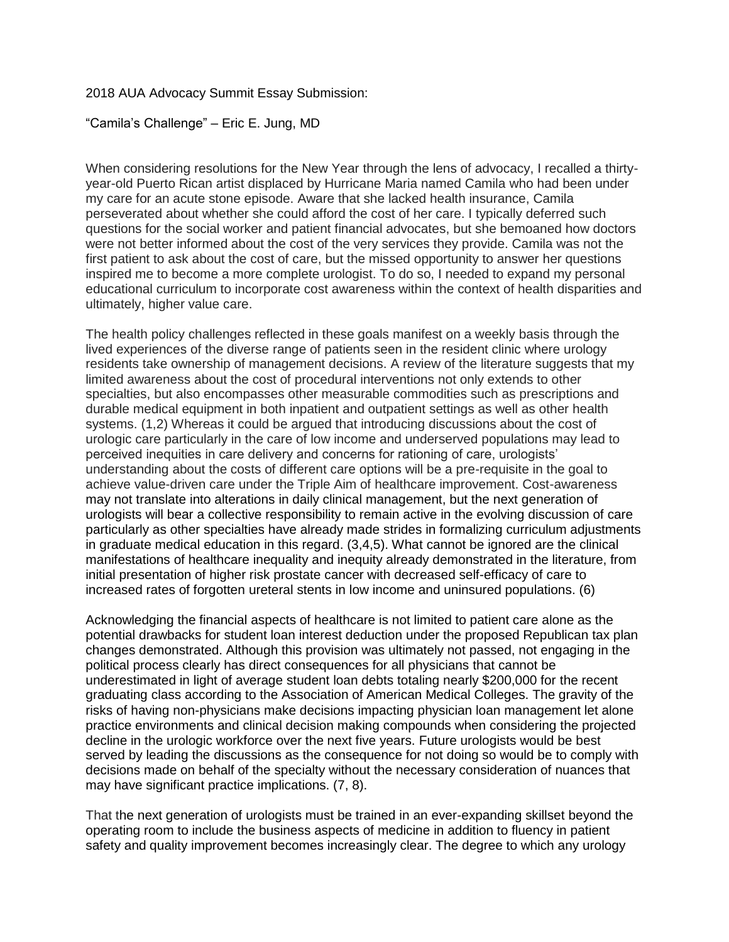2018 AUA Advocacy Summit Essay Submission:

"Camila's Challenge" – Eric E. Jung, MD

When considering resolutions for the New Year through the lens of advocacy, I recalled a thirtyyear-old Puerto Rican artist displaced by Hurricane Maria named Camila who had been under my care for an acute stone episode. Aware that she lacked health insurance, Camila perseverated about whether she could afford the cost of her care. I typically deferred such questions for the social worker and patient financial advocates, but she bemoaned how doctors were not better informed about the cost of the very services they provide. Camila was not the first patient to ask about the cost of care, but the missed opportunity to answer her questions inspired me to become a more complete urologist. To do so, I needed to expand my personal educational curriculum to incorporate cost awareness within the context of health disparities and ultimately, higher value care.

The health policy challenges reflected in these goals manifest on a weekly basis through the lived experiences of the diverse range of patients seen in the resident clinic where urology residents take ownership of management decisions. A review of the literature suggests that my limited awareness about the cost of procedural interventions not only extends to other specialties, but also encompasses other measurable commodities such as prescriptions and durable medical equipment in both inpatient and outpatient settings as well as other health systems. (1,2) Whereas it could be argued that introducing discussions about the cost of urologic care particularly in the care of low income and underserved populations may lead to perceived inequities in care delivery and concerns for rationing of care, urologists' understanding about the costs of different care options will be a pre-requisite in the goal to achieve value-driven care under the Triple Aim of healthcare improvement. Cost-awareness may not translate into alterations in daily clinical management, but the next generation of urologists will bear a collective responsibility to remain active in the evolving discussion of care particularly as other specialties have already made strides in formalizing curriculum adjustments in graduate medical education in this regard. (3,4,5). What cannot be ignored are the clinical manifestations of healthcare inequality and inequity already demonstrated in the literature, from initial presentation of higher risk prostate cancer with decreased self-efficacy of care to increased rates of forgotten ureteral stents in low income and uninsured populations. (6)

Acknowledging the financial aspects of healthcare is not limited to patient care alone as the potential drawbacks for student loan interest deduction under the proposed Republican tax plan changes demonstrated. Although this provision was ultimately not passed, not engaging in the political process clearly has direct consequences for all physicians that cannot be underestimated in light of average student loan debts totaling nearly \$200,000 for the recent graduating class according to the Association of American Medical Colleges. The gravity of the risks of having non-physicians make decisions impacting physician loan management let alone practice environments and clinical decision making compounds when considering the projected decline in the urologic workforce over the next five years. Future urologists would be best served by leading the discussions as the consequence for not doing so would be to comply with decisions made on behalf of the specialty without the necessary consideration of nuances that may have significant practice implications. (7, 8).

That the next generation of urologists must be trained in an ever-expanding skillset beyond the operating room to include the business aspects of medicine in addition to fluency in patient safety and quality improvement becomes increasingly clear. The degree to which any urology